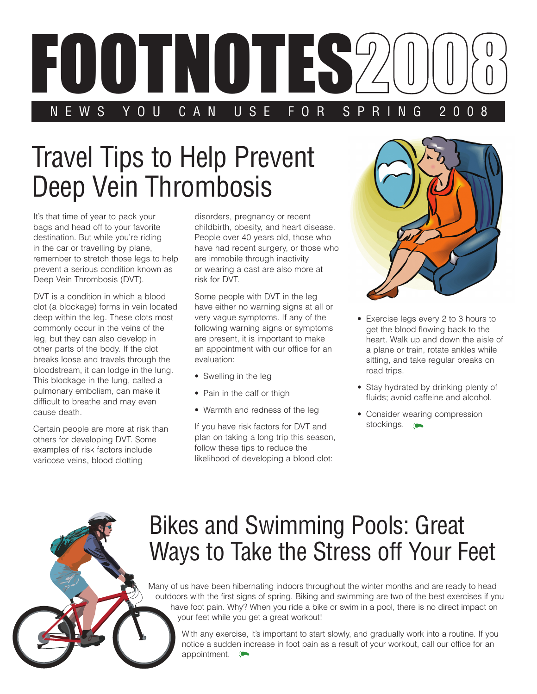

## Travel Tips to Help Prevent Deep Vein Thrombosis

It's that time of year to pack your bags and head off to your favorite destination. But while you're riding in the car or travelling by plane, remember to stretch those legs to help prevent a serious condition known as Deep Vein Thrombosis (DVT).

DVT is a condition in which a blood clot (a blockage) forms in vein located deep within the leg. These clots most commonly occur in the veins of the leg, but they can also develop in other parts of the body. If the clot breaks loose and travels through the bloodstream, it can lodge in the lung. This blockage in the lung, called a pulmonary embolism, can make it difficult to breathe and may even cause death.

Certain people are more at risk than others for developing DVT. Some examples of risk factors include varicose veins, blood clotting

disorders, pregnancy or recent childbirth, obesity, and heart disease. People over 40 years old, those who have had recent surgery, or those who are immobile through inactivity or wearing a cast are also more at risk for DVT.

Some people with DVT in the leg have either no warning signs at all or very vague symptoms. If any of the following warning signs or symptoms are present, it is important to make an appointment with our office for an evaluation:

- Swelling in the leg
- Pain in the calf or thigh
- Warmth and redness of the leg

If you have risk factors for DVT and plan on taking a long trip this season, follow these tips to reduce the likelihood of developing a blood clot:



- Exercise legs every 2 to 3 hours to get the blood flowing back to the heart. Walk up and down the aisle of a plane or train, rotate ankles while sitting, and take regular breaks on road trips.
- Stay hydrated by drinking plenty of fluids; avoid caffeine and alcohol.
- Consider wearing compression stockings.

## Bikes and Swimming Pools: Great Ways to Take the Stress off Your Feet

Many of us have been hibernating indoors throughout the winter months and are ready to head outdoors with the first signs of spring. Biking and swimming are two of the best exercises if you have foot pain. Why? When you ride a bike or swim in a pool, there is no direct impact on your feet while you get a great workout!

With any exercise, it's important to start slowly, and gradually work into a routine. If you notice a sudden increase in foot pain as a result of your workout, call our office for an appointment.